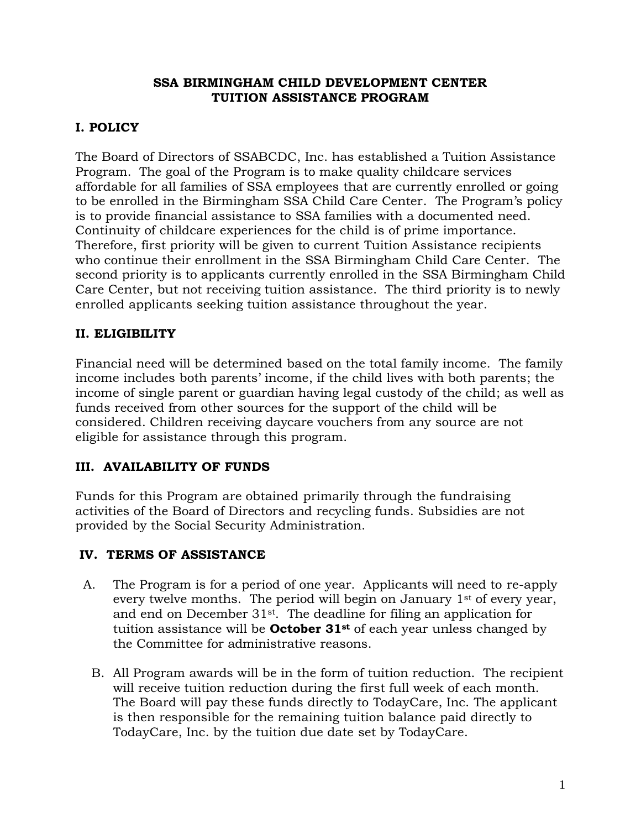#### **SSA BIRMINGHAM CHILD DEVELOPMENT CENTER TUITION ASSISTANCE PROGRAM**

# **I. POLICY**

The Board of Directors of SSABCDC, Inc. has established a Tuition Assistance Program. The goal of the Program is to make quality childcare services affordable for all families of SSA employees that are currently enrolled or going to be enrolled in the Birmingham SSA Child Care Center. The Program's policy is to provide financial assistance to SSA families with a documented need. Continuity of childcare experiences for the child is of prime importance. Therefore, first priority will be given to current Tuition Assistance recipients who continue their enrollment in the SSA Birmingham Child Care Center. The second priority is to applicants currently enrolled in the SSA Birmingham Child Care Center, but not receiving tuition assistance. The third priority is to newly enrolled applicants seeking tuition assistance throughout the year.

# **II. ELIGIBILITY**

Financial need will be determined based on the total family income. The family income includes both parents' income, if the child lives with both parents; the income of single parent or guardian having legal custody of the child; as well as funds received from other sources for the support of the child will be considered. Children receiving daycare vouchers from any source are not eligible for assistance through this program.

# **III. AVAILABILITY OF FUNDS**

Funds for this Program are obtained primarily through the fundraising activities of the Board of Directors and recycling funds. Subsidies are not provided by the Social Security Administration.

## **IV. TERMS OF ASSISTANCE**

- A. The Program is for a period of one year. Applicants will need to re-apply every twelve months. The period will begin on January 1<sup>st</sup> of every year, and end on December 31st. The deadline for filing an application for tuition assistance will be **October 31st** of each year unless changed by the Committee for administrative reasons.
	- B. All Program awards will be in the form of tuition reduction. The recipient will receive tuition reduction during the first full week of each month. The Board will pay these funds directly to TodayCare, Inc. The applicant is then responsible for the remaining tuition balance paid directly to TodayCare, Inc. by the tuition due date set by TodayCare.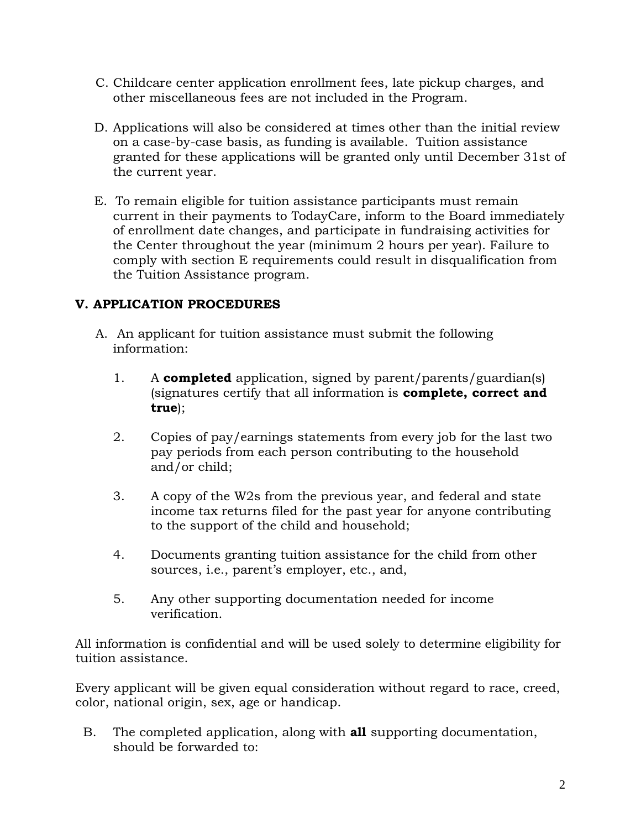- C. Childcare center application enrollment fees, late pickup charges, and other miscellaneous fees are not included in the Program.
- D. Applications will also be considered at times other than the initial review on a case-by-case basis, as funding is available. Tuition assistance granted for these applications will be granted only until December 31st of the current year.
- E. To remain eligible for tuition assistance participants must remain current in their payments to TodayCare, inform to the Board immediately of enrollment date changes, and participate in fundraising activities for the Center throughout the year (minimum 2 hours per year). Failure to comply with section E requirements could result in disqualification from the Tuition Assistance program.

# **V. APPLICATION PROCEDURES**

- A. An applicant for tuition assistance must submit the following information:
	- 1. A **completed** application, signed by parent/parents/guardian(s) (signatures certify that all information is **complete, correct and true**);
	- 2. Copies of pay/earnings statements from every job for the last two pay periods from each person contributing to the household and/or child;
	- 3. A copy of the W2s from the previous year, and federal and state income tax returns filed for the past year for anyone contributing to the support of the child and household;
	- 4. Documents granting tuition assistance for the child from other sources, i.e., parent's employer, etc., and,
	- 5. Any other supporting documentation needed for income verification.

All information is confidential and will be used solely to determine eligibility for tuition assistance.

Every applicant will be given equal consideration without regard to race, creed, color, national origin, sex, age or handicap.

B. The completed application, along with **all** supporting documentation, should be forwarded to: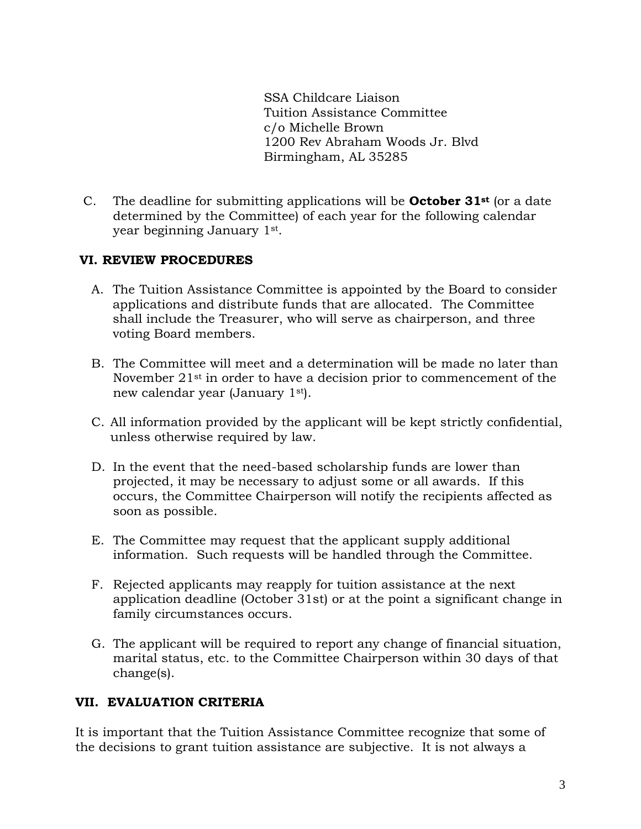SSA Childcare Liaison Tuition Assistance Committee c/o Michelle Brown 1200 Rev Abraham Woods Jr. Blvd Birmingham, AL 35285

C. The deadline for submitting applications will be **October 31st** (or a date determined by the Committee) of each year for the following calendar year beginning January 1st .

#### **VI. REVIEW PROCEDURES**

- A. The Tuition Assistance Committee is appointed by the Board to consider applications and distribute funds that are allocated. The Committee shall include the Treasurer, who will serve as chairperson, and three voting Board members.
- B. The Committee will meet and a determination will be made no later than November 21st in order to have a decision prior to commencement of the new calendar year (January 1st).
- C. All information provided by the applicant will be kept strictly confidential, unless otherwise required by law.
- D. In the event that the need-based scholarship funds are lower than projected, it may be necessary to adjust some or all awards. If this occurs, the Committee Chairperson will notify the recipients affected as soon as possible.
- E. The Committee may request that the applicant supply additional information. Such requests will be handled through the Committee.
- F. Rejected applicants may reapply for tuition assistance at the next application deadline (October 31st) or at the point a significant change in family circumstances occurs.
- G. The applicant will be required to report any change of financial situation, marital status, etc. to the Committee Chairperson within 30 days of that change(s).

## **VII. EVALUATION CRITERIA**

It is important that the Tuition Assistance Committee recognize that some of the decisions to grant tuition assistance are subjective. It is not always a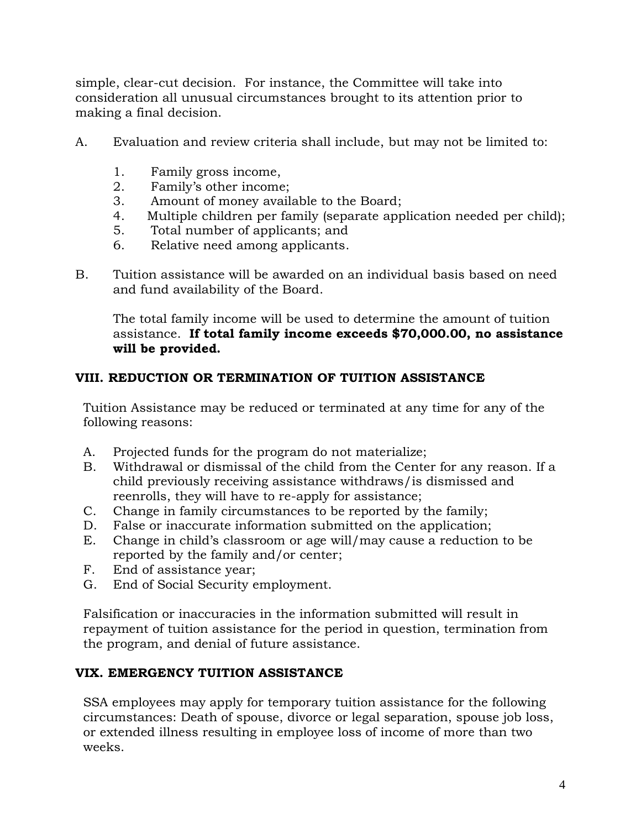simple, clear-cut decision. For instance, the Committee will take into consideration all unusual circumstances brought to its attention prior to making a final decision.

- A. Evaluation and review criteria shall include, but may not be limited to:
	- 1. Family gross income,
	- 2. Family's other income;
	- 3. Amount of money available to the Board;
	- 4. Multiple children per family (separate application needed per child);
	- 5. Total number of applicants; and
	- 6. Relative need among applicants.
- B. Tuition assistance will be awarded on an individual basis based on need and fund availability of the Board.

The total family income will be used to determine the amount of tuition assistance. **If total family income exceeds \$70,000.00, no assistance will be provided.**

## **VIII. REDUCTION OR TERMINATION OF TUITION ASSISTANCE**

Tuition Assistance may be reduced or terminated at any time for any of the following reasons:

- A. Projected funds for the program do not materialize;
- B. Withdrawal or dismissal of the child from the Center for any reason. If a child previously receiving assistance withdraws/is dismissed and reenrolls, they will have to re-apply for assistance;
- C. Change in family circumstances to be reported by the family;
- D. False or inaccurate information submitted on the application;
- E. Change in child's classroom or age will/may cause a reduction to be reported by the family and/or center;
- F. End of assistance year;
- G. End of Social Security employment.

Falsification or inaccuracies in the information submitted will result in repayment of tuition assistance for the period in question, termination from the program, and denial of future assistance.

## **VIX. EMERGENCY TUITION ASSISTANCE**

SSA employees may apply for temporary tuition assistance for the following circumstances: Death of spouse, divorce or legal separation, spouse job loss, or extended illness resulting in employee loss of income of more than two weeks.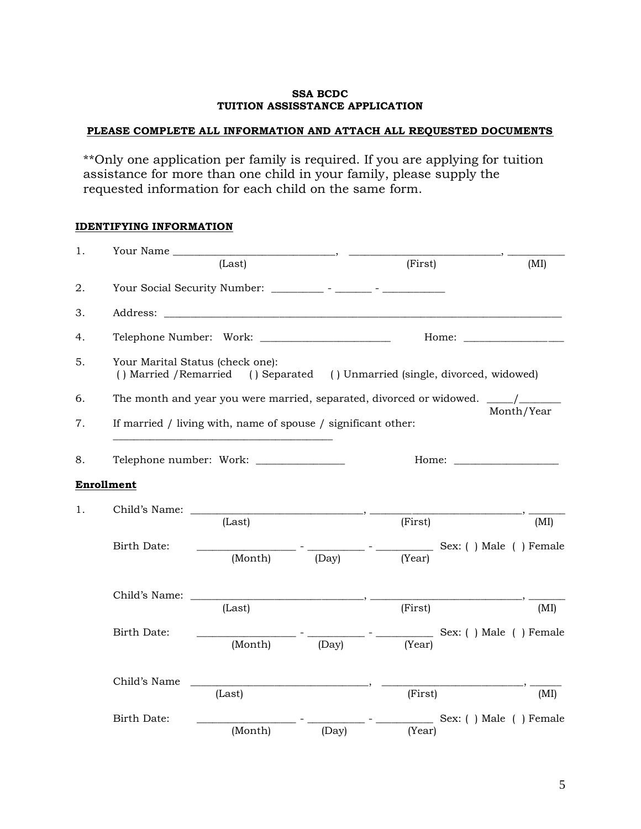#### **SSA BCDC TUITION ASSISSTANCE APPLICATION**

#### **PLEASE COMPLETE ALL INFORMATION AND ATTACH ALL REQUESTED DOCUMENTS**

\*\*Only one application per family is required. If you are applying for tuition assistance for more than one child in your family, please supply the requested information for each child on the same form.

#### **IDENTIFYING INFORMATION**

| 1. | Your Name                                          |                                                               |       |                                                                                |                        |
|----|----------------------------------------------------|---------------------------------------------------------------|-------|--------------------------------------------------------------------------------|------------------------|
|    |                                                    | (Last)                                                        |       | (First)                                                                        | (MI)                   |
| 2. |                                                    |                                                               |       |                                                                                |                        |
| 3. |                                                    |                                                               |       |                                                                                |                        |
| 4. |                                                    |                                                               |       | Home:                                                                          |                        |
| 5. | () Married / Remarried                             | Your Marital Status (check one):                              |       | () Separated () Unmarried (single, divorced, widowed)                          |                        |
| 6. |                                                    |                                                               |       | The month and year you were married, separated, divorced or widowed. ____/____ |                        |
| 7. |                                                    | If married / living with, name of spouse / significant other: |       |                                                                                | Month/Year             |
| 8. | Telephone number: Work: _________________<br>Home: |                                                               |       |                                                                                |                        |
|    | <b>Enrollment</b>                                  |                                                               |       |                                                                                |                        |
| 1. |                                                    | Child's Name:                                                 |       |                                                                                |                        |
|    |                                                    | (Last)                                                        |       | (First)                                                                        | (MI)                   |
|    | Birth Date:                                        | (Month)                                                       | (Day) | _____________________ Sex: ( ) Male ( ) Female<br>(Year)                       |                        |
|    |                                                    |                                                               |       |                                                                                |                        |
|    | Child's Name:                                      |                                                               |       |                                                                                |                        |
|    |                                                    | (Last)                                                        |       | (First)                                                                        | (MI)                   |
|    | Birth Date:                                        | (Month)                                                       | (Day) | (Year)                                                                         | Sex: () Male () Female |
|    |                                                    |                                                               |       |                                                                                |                        |
|    | Child's Name                                       |                                                               |       |                                                                                |                        |
|    |                                                    | (Last)                                                        |       | (First)                                                                        | (MI)                   |
|    | <b>Birth Date:</b>                                 |                                                               |       |                                                                                | Sex: () Male () Female |
|    |                                                    | (Month)                                                       | (Day) | (Year)                                                                         |                        |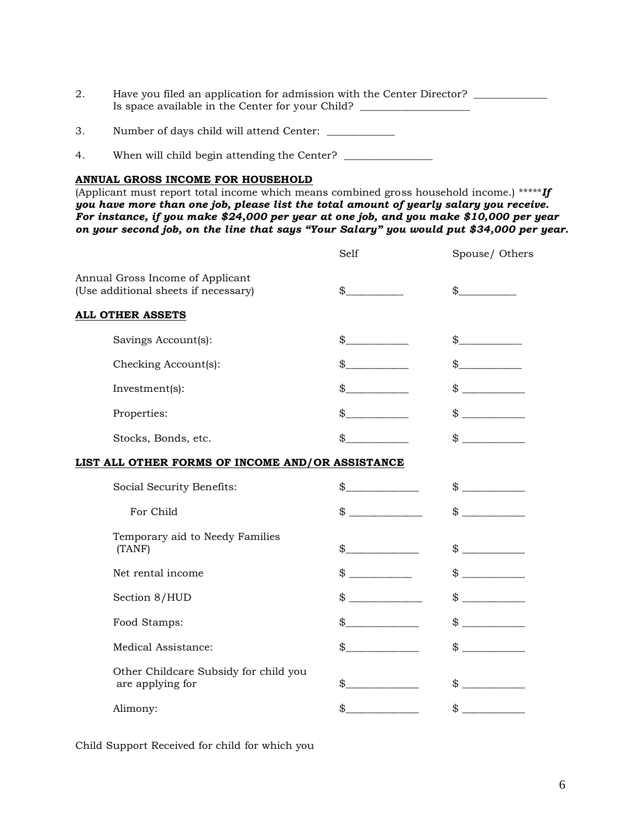| 2. | Have you filed an application for admission with the Center Director? |  |
|----|-----------------------------------------------------------------------|--|
|    | Is space available in the Center for your Child?                      |  |
|    |                                                                       |  |

- 3. Number of days child will attend Center: \_\_\_\_\_\_\_\_\_\_\_
- 4. When will child begin attending the Center? \_\_\_\_\_\_\_\_\_\_\_\_\_\_\_\_\_\_\_\_\_\_\_\_\_\_\_\_\_\_\_\_\_

#### **ANNUAL GROSS INCOME FOR HOUSEHOLD**

(Applicant must report total income which means combined gross household income.) \*\*\*\*\**If you have more than one job, please list the total amount of yearly salary you receive. For instance, if you make \$24,000 per year at one job, and you make \$10,000 per year on your second job, on the line that says "Your Salary" you would put \$34,000 per year.*

|                                                                          | Self          | Spouse/ Others                             |
|--------------------------------------------------------------------------|---------------|--------------------------------------------|
| Annual Gross Income of Applicant<br>(Use additional sheets if necessary) |               | $\frac{1}{2}$                              |
| <b>ALL OTHER ASSETS</b>                                                  |               |                                            |
| Savings Account(s):                                                      | $\frac{1}{2}$ |                                            |
| Checking Account(s):                                                     |               |                                            |
| Investment(s):                                                           |               | $\frac{1}{2}$                              |
| Properties:                                                              | $\frac{1}{2}$ | $\frac{1}{2}$                              |
| Stocks, Bonds, etc.                                                      | \$            | $\frac{1}{2}$                              |
| LIST ALL OTHER FORMS OF INCOME AND/OR ASSISTANCE                         |               |                                            |
| Social Security Benefits:                                                |               |                                            |
| For Child                                                                |               | $\qquad \qquad \, \text{\$} \qquad \qquad$ |
| Temporary aid to Needy Families<br>(TANF)                                | $\frac{1}{2}$ | $\frac{1}{2}$                              |
| Net rental income                                                        | $\frac{1}{2}$ | $\frac{1}{2}$                              |
| Section 8/HUD                                                            |               | $\qquad \qquad \$$                         |
| Food Stamps:                                                             | $\frac{1}{2}$ |                                            |
| Medical Assistance:                                                      | $\mathcal{S}$ | $\frac{1}{2}$                              |
| Other Childcare Subsidy for child you<br>are applying for                | $\mathbb{S}$  | $\frac{1}{2}$                              |
| Alimony:                                                                 | $\mathbb{S}$  | $\frac{1}{2}$                              |

Child Support Received for child for which you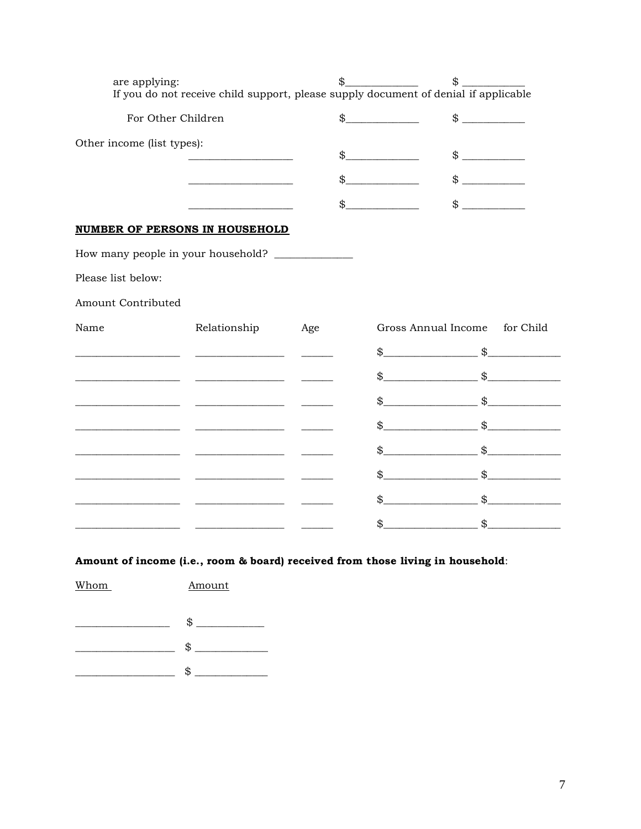| are applying:                                     | If you do not receive child support, please supply document of denial if applicable | \$. |                     | \$                                                                                                                                                                                                                                                                                                                  |
|---------------------------------------------------|-------------------------------------------------------------------------------------|-----|---------------------|---------------------------------------------------------------------------------------------------------------------------------------------------------------------------------------------------------------------------------------------------------------------------------------------------------------------|
| For Other Children                                |                                                                                     | \$  |                     | $\frac{1}{2}$                                                                                                                                                                                                                                                                                                       |
| Other income (list types):                        |                                                                                     |     |                     | $\frac{1}{2}$                                                                                                                                                                                                                                                                                                       |
|                                                   |                                                                                     |     |                     | $\frac{1}{2}$                                                                                                                                                                                                                                                                                                       |
|                                                   |                                                                                     |     | $\frac{1}{2}$       | $\qquad \qquad \$$                                                                                                                                                                                                                                                                                                  |
| <b>NUMBER OF PERSONS IN HOUSEHOLD</b>             |                                                                                     |     |                     |                                                                                                                                                                                                                                                                                                                     |
| How many people in your household? ______________ |                                                                                     |     |                     |                                                                                                                                                                                                                                                                                                                     |
| Please list below:                                |                                                                                     |     |                     |                                                                                                                                                                                                                                                                                                                     |
| Amount Contributed                                |                                                                                     |     |                     |                                                                                                                                                                                                                                                                                                                     |
| Name                                              | Relationship                                                                        | Age | Gross Annual Income | for Child                                                                                                                                                                                                                                                                                                           |
|                                                   | <u> 1989 - Johann Barbara, martin eta politikar</u>                                 |     |                     | $\updownarrow$ $\updownarrow$                                                                                                                                                                                                                                                                                       |
|                                                   |                                                                                     |     |                     | $\frac{1}{2}$ $\frac{1}{2}$ $\frac{1}{2}$ $\frac{1}{2}$ $\frac{1}{2}$ $\frac{1}{2}$ $\frac{1}{2}$ $\frac{1}{2}$ $\frac{1}{2}$ $\frac{1}{2}$ $\frac{1}{2}$ $\frac{1}{2}$ $\frac{1}{2}$ $\frac{1}{2}$ $\frac{1}{2}$ $\frac{1}{2}$ $\frac{1}{2}$ $\frac{1}{2}$ $\frac{1}{2}$ $\frac{1}{2}$ $\frac{1}{2}$ $\frac{1}{2}$ |
|                                                   |                                                                                     |     |                     | $\frac{1}{2}$ $\frac{1}{2}$ $\frac{1}{2}$ $\frac{1}{2}$ $\frac{1}{2}$ $\frac{1}{2}$ $\frac{1}{2}$ $\frac{1}{2}$ $\frac{1}{2}$ $\frac{1}{2}$ $\frac{1}{2}$ $\frac{1}{2}$ $\frac{1}{2}$ $\frac{1}{2}$ $\frac{1}{2}$ $\frac{1}{2}$ $\frac{1}{2}$ $\frac{1}{2}$ $\frac{1}{2}$ $\frac{1}{2}$ $\frac{1}{2}$ $\frac{1}{2}$ |
|                                                   |                                                                                     |     |                     | $\updownarrow$ $\updownarrow$                                                                                                                                                                                                                                                                                       |
|                                                   |                                                                                     |     |                     | $\mathbb S$ $\mathbb S$                                                                                                                                                                                                                                                                                             |
|                                                   |                                                                                     |     |                     | $\updownarrow$ $\updownarrow$                                                                                                                                                                                                                                                                                       |
|                                                   |                                                                                     |     |                     | $\updownarrow$ $\updownarrow$                                                                                                                                                                                                                                                                                       |
|                                                   |                                                                                     |     |                     | $\updownarrow$ $\updownarrow$                                                                                                                                                                                                                                                                                       |

#### Amount of income (i.e., room & board) received from those living in household:

Whom Amount  $\overbrace{\hspace{2.5cm}}$   $\overbrace{\hspace{2.5cm}}$   $\overbrace{\hspace{2.5cm}}$   $\overbrace{\hspace{2.5cm}}$   $\overbrace{\hspace{2.5cm}}$   $\overbrace{\hspace{2.5cm}}$  $\begin{tabular}{c} 1.5cm & 1.5cm & 1.5cm & 1.5cm & 1.5cm & 1.5cm & 1.5cm & 1.5cm & 1.5cm & 1.5cm & 1.5cm & 1.5cm & 1.5cm & 1.5cm & 1.5cm & 1.5cm & 1.5cm & 1.5cm & 1.5cm & 1.5cm & 1.5cm & 1.5cm & 1.5cm & 1.5cm & 1.5cm & 1.5cm & 1.5cm & 1.5cm & 1.5cm & 1.5cm & 1.5cm & 1.5cm & 1.5cm & 1.5cm & 1.5cm & 1$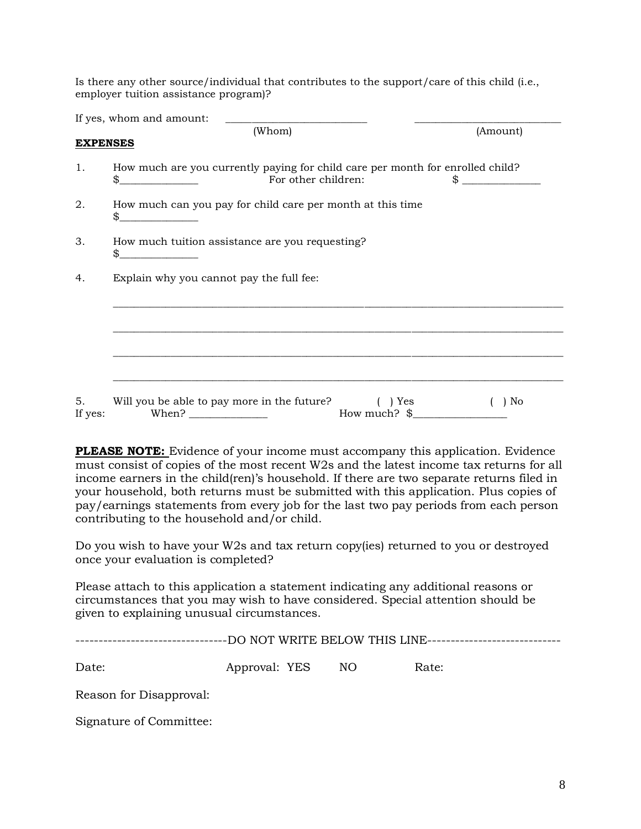Is there any other source/individual that contributes to the support/care of this child (i.e., employer tuition assistance program)?

|                 | If yes, whom and amount:                                                                                                                                                                                                                                                                                                                                                                                                                                                |                                  |                      |  |  |  |
|-----------------|-------------------------------------------------------------------------------------------------------------------------------------------------------------------------------------------------------------------------------------------------------------------------------------------------------------------------------------------------------------------------------------------------------------------------------------------------------------------------|----------------------------------|----------------------|--|--|--|
|                 | (Whom)                                                                                                                                                                                                                                                                                                                                                                                                                                                                  |                                  | (Amount)             |  |  |  |
| <b>EXPENSES</b> |                                                                                                                                                                                                                                                                                                                                                                                                                                                                         |                                  |                      |  |  |  |
| 1.              | How much are you currently paying for child care per month for enrolled child?<br>\$<br>For other children:                                                                                                                                                                                                                                                                                                                                                             |                                  | $\frac{1}{\sqrt{2}}$ |  |  |  |
| 2.              | How much can you pay for child care per month at this time<br>$\frac{1}{2}$                                                                                                                                                                                                                                                                                                                                                                                             |                                  |                      |  |  |  |
| 3.              | How much tuition assistance are you requesting?<br>\$                                                                                                                                                                                                                                                                                                                                                                                                                   |                                  |                      |  |  |  |
| 4.              | Explain why you cannot pay the full fee:                                                                                                                                                                                                                                                                                                                                                                                                                                |                                  |                      |  |  |  |
|                 |                                                                                                                                                                                                                                                                                                                                                                                                                                                                         |                                  |                      |  |  |  |
|                 |                                                                                                                                                                                                                                                                                                                                                                                                                                                                         |                                  |                      |  |  |  |
|                 |                                                                                                                                                                                                                                                                                                                                                                                                                                                                         |                                  |                      |  |  |  |
|                 |                                                                                                                                                                                                                                                                                                                                                                                                                                                                         |                                  |                      |  |  |  |
| 5.<br>If yes:   | Will you be able to pay more in the future?<br>When? $\frac{1}{\sqrt{1-\frac{1}{2}}}\frac{1}{\sqrt{1-\frac{1}{2}}}\frac{1}{\sqrt{1-\frac{1}{2}}}\frac{1}{\sqrt{1-\frac{1}{2}}}\frac{1}{\sqrt{1-\frac{1}{2}}}\frac{1}{\sqrt{1-\frac{1}{2}}}\frac{1}{\sqrt{1-\frac{1}{2}}}\frac{1}{\sqrt{1-\frac{1}{2}}}\frac{1}{\sqrt{1-\frac{1}{2}}}\frac{1}{\sqrt{1-\frac{1}{2}}}\frac{1}{\sqrt{1-\frac{1}{2}}}\frac{1}{\sqrt{1-\frac{1}{2}}}\frac{1}{\sqrt{1-\frac{1}{2}}}\frac{1}{\$ | ) Yes<br>How much? $\frac{1}{2}$ | ) No                 |  |  |  |

**PLEASE NOTE:** Evidence of your income must accompany this application. Evidence must consist of copies of the most recent W2s and the latest income tax returns for all income earners in the child(ren)'s household. If there are two separate returns filed in your household, both returns must be submitted with this application. Plus copies of pay/earnings statements from every job for the last two pay periods from each person contributing to the household and/or child.

Do you wish to have your W2s and tax return copy(ies) returned to you or destroyed once your evaluation is completed?

Please attach to this application a statement indicating any additional reasons or circumstances that you may wish to have considered. Special attention should be given to explaining unusual circumstances.

|                         |                  |  | ------------------------DO NOT WRITE BELOW THIS LINE---------------------------- |
|-------------------------|------------------|--|----------------------------------------------------------------------------------|
| Date:                   | Approval: YES NO |  | Rate:                                                                            |
| Reason for Disapproval: |                  |  |                                                                                  |

Signature of Committee: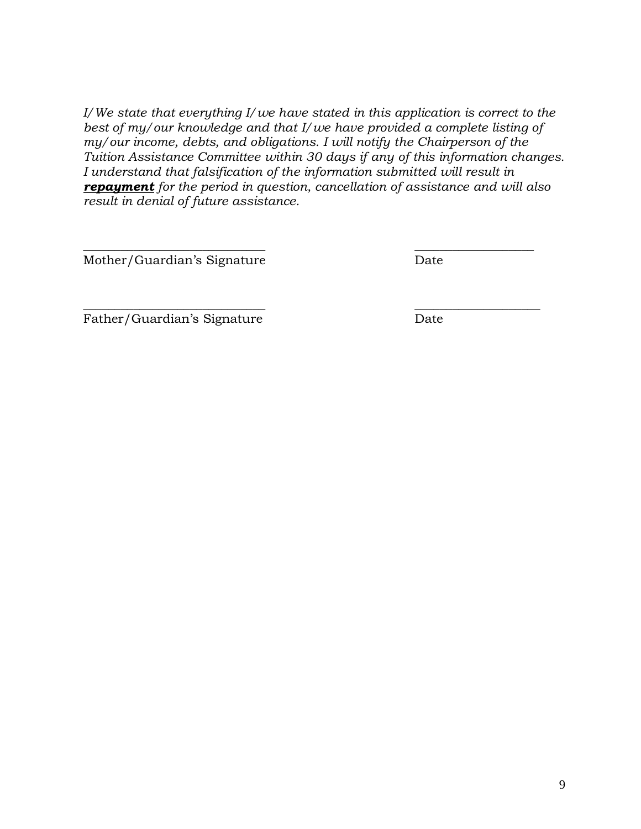*I/We state that everything I/we have stated in this application is correct to the*  best of my/our knowledge and that I/we have provided a complete listing of *my/our income, debts, and obligations. I will notify the Chairperson of the Tuition Assistance Committee within 30 days if any of this information changes. I understand that falsification of the information submitted will result in repayment for the period in question, cancellation of assistance and will also result in denial of future assistance.*

*\_\_\_\_\_\_\_\_\_\_\_\_\_\_\_\_\_\_\_\_\_\_\_\_\_\_\_\_\_ \_\_\_\_\_\_\_\_\_\_\_\_\_\_\_\_\_\_\_*

 $\overline{\phantom{a}}$  , and the contract of the contract of the contract of the contract of the contract of the contract of the contract of the contract of the contract of the contract of the contract of the contract of the contrac

Mother/Guardian's Signature Date

Father/Guardian's Signature Date